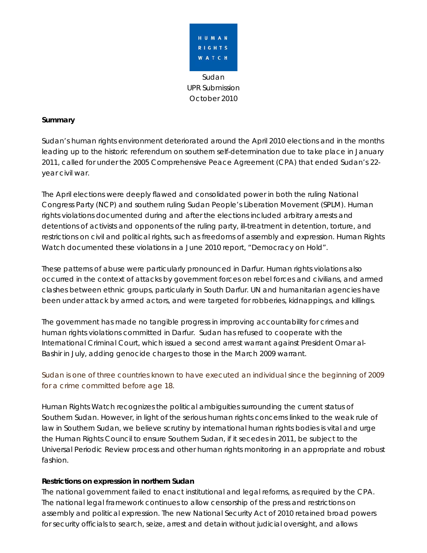

### **Summary**

Sudan's human rights environment deteriorated around the April 2010 elections and in the months leading up to the historic referendum on southern self-determination due to take place in January 2011, called for under the 2005 Comprehensive Peace Agreement (CPA) that ended Sudan's 22 year civil war.

The April elections were deeply flawed and consolidated power in both the ruling National Congress Party (NCP) and southern ruling Sudan People's Liberation Movement (SPLM). Human rights violations documented during and after the elections included arbitrary arrests and detentions of activists and opponents of the ruling party, ill-treatment in detention, torture, and restrictions on civil and political rights, such as freedoms of assembly and expression. Human Rights Watch documented these violations in a June 2010 report, "Democracy on Hold".

These patterns of abuse were particularly pronounced in Darfur. Human rights violations also occurred in the context of attacks by government forces on rebel forces and civilians, and armed clashes between ethnic groups, particularly in South Darfur. UN and humanitarian agencies have been under attack by armed actors, and were targeted for robberies, kidnappings, and killings.

The government has made no tangible progress in improving accountability for crimes and human rights violations committed in Darfur. Sudan has refused to cooperate with the International Criminal Court, which issued a second arrest warrant against President Omar al-Bashir in July, adding genocide charges to those in the March 2009 warrant.

Sudan is one of three countries known to have executed an individual since the beginning of 2009 for a crime committed before age 18.

Human Rights Watch recognizes the political ambiguities surrounding the current status of Southern Sudan. However, in light of the serious human rights concerns linked to the weak rule of law in Southern Sudan, we believe scrutiny by international human rights bodies is vital and urge the Human Rights Council to ensure Southern Sudan, if it secedes in 2011, be subject to the Universal Periodic Review process and other human rights monitoring in an appropriate and robust fashion.

### **Restrictions on expression in northern Sudan**

The national government failed to enact institutional and legal reforms, as required by the CPA. The national legal framework continues to allow censorship of the press and restrictions on assembly and political expression. The new National Security Act of 2010 retained broad powers for security officials to search, seize, arrest and detain without judicial oversight, and allows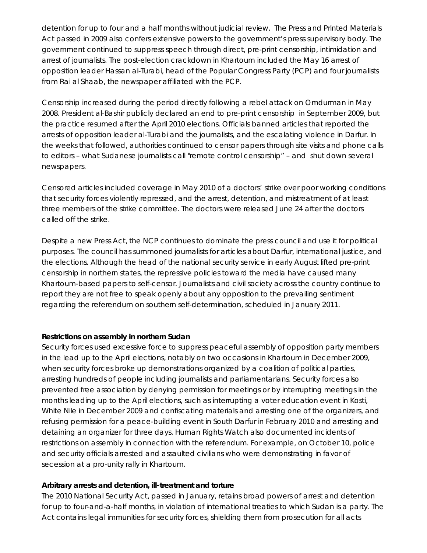detention for up to four and a half months without judicial review. The Press and Printed Materials Act passed in 2009 also confers extensive powers to the government's press supervisory body. The government continued to suppress speech through direct, pre-print censorship, intimidation and arrest of journalists. The post-election crackdown in Khartoum included the May 16 arrest of opposition leader Hassan al-Turabi, head of the Popular Congress Party (PCP) and four journalists from Rai al Shaab, the newspaper affiliated with the PCP.

Censorship increased during the period directly following a rebel attack on Omdurman in May 2008. President al-Bashir publicly declared an end to pre-print censorship in September 2009, but the practice resumed after the April 2010 elections. Officials banned articles that reported the arrests of opposition leader al-Turabi and the journalists, and the escalating violence in Darfur. In the weeks that followed, authorities continued to censor papers through site visits and phone calls to editors – what Sudanese journalists call "remote control censorship" – and shut down several newspapers.

Censored articles included coverage in May 2010 of a doctors' strike over poor working conditions that security forces violently repressed, and the arrest, detention, and mistreatment of at least three members of the strike committee. The doctors were released June 24 after the doctors called off the strike.

Despite a new Press Act, the NCP continues to dominate the press council and use it for political purposes. The council has summoned journalists for articles about Darfur, international justice, and the elections. Although the head of the national security service in early August lifted pre-print censorship in northern states, the repressive policies toward the media have caused many Khartoum-based papers to self-censor. Journalists and civil society across the country continue to report they are not free to speak openly about any opposition to the prevailing sentiment regarding the referendum on southern self-determination, scheduled in January 2011.

### **Restrictions on assembly in northern Sudan**

Security forces used excessive force to suppress peaceful assembly of opposition party members in the lead up to the April elections, notably on two occasions in Khartoum in December 2009, when security forces broke up demonstrations organized by a coalition of political parties, arresting hundreds of people including journalists and parliamentarians. Security forces also prevented free association by denying permission for meetings or by interrupting meetings in the months leading up to the April elections, such as interrupting a voter education event in Kosti, White Nile in December 2009 and confiscating materials and arresting one of the organizers, and refusing permission for a peace-building event in South Darfur in February 2010 and arresting and detaining an organizer for three days. Human Rights Watch also documented incidents of restrictions on assembly in connection with the referendum. For example, on October 10, police and security officials arrested and assaulted civilians who were demonstrating in favor of secession at a pro-unity rally in Khartoum.

### **Arbitrary arrests and detention, ill-treatment and torture**

The 2010 National Security Act, passed in January, retains broad powers of arrest and detention for up to four-and-a-half months, in violation of international treaties to which Sudan is a party. The Act contains legal immunities for security forces, shielding them from prosecution for all acts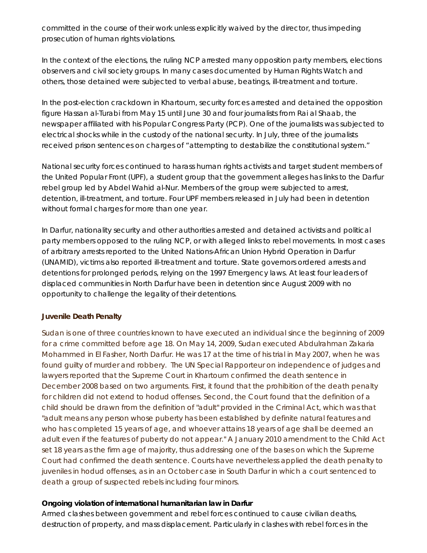committed in the course of their work unless explicitly waived by the director, thus impeding prosecution of human rights violations.

In the context of the elections, the ruling NCP arrested many opposition party members, elections observers and civil society groups. In many cases documented by Human Rights Watch and others, those detained were subjected to verbal abuse, beatings, ill-treatment and torture.

In the post-election crackdown in Khartoum, security forces arrested and detained the opposition figure Hassan al-Turabi from May 15 until June 30 and four journalists from Rai al Shaab, the newspaper affiliated with his Popular Congress Party (PCP). One of the journalists was subjected to electrical shocks while in the custody of the national security. In July, three of the journalists received prison sentences on charges of "attempting to destabilize the constitutional system."

National security forces continued to harass human rights activists and target student members of the United Popular Front (UPF), a student group that the government alleges has links to the Darfur rebel group led by Abdel Wahid al-Nur. Members of the group were subjected to arrest, detention, ill-treatment, and torture. Four UPF members released in July had been in detention without formal charges for more than one year.

In Darfur, nationality security and other authorities arrested and detained activists and political party members opposed to the ruling NCP, or with alleged links to rebel movements. In most cases of arbitrary arrests reported to the United Nations-African Union Hybrid Operation in Darfur (UNAMID), victims also reported ill-treatment and torture. State governors ordered arrests and detentions for prolonged periods, relying on the 1997 Emergency laws. At least four leaders of displaced communities in North Darfur have been in detention since August 2009 with no opportunity to challenge the legality of their detentions.

### **Juvenile Death Penalty**

Sudan is one of three countries known to have executed an individual since the beginning of 2009 for a crime committed before age 18. On May 14, 2009, Sudan executed Abdulrahman Zakaria Mohammed in El Fasher, North Darfur. He was 17 at the time of his trial in May 2007, when he was found guilty of murder and robbery. The UN Special Rapporteur on independence of judges and lawyers reported that the Supreme Court in Khartoum confirmed the death sentence in December 2008 based on two arguments. First, it found that the prohibition of the death penalty for children did not extend to *hodud* offenses. Second, the Court found that the definition of a child should be drawn from the definition of "adult" provided in the Criminal Act, which was that "adult means any person whose puberty has been established by definite natural features and who has completed 15 years of age, and whoever attains 18 years of age shall be deemed an adult even if the features of puberty do not appear." A January 2010 amendment to the Child Act set 18 years as the firm age of majority, thus addressing one of the bases on which the Supreme Court had confirmed the death sentence. Courts have nevertheless applied the death penalty to juveniles in *hodud* offenses, as in an October case in South Darfur in which a court sentenced to death a group of suspected rebels including four minors.

### **Ongoing violation of international humanitarian law in Darfur**

Armed clashes between government and rebel forces continued to cause civilian deaths, destruction of property, and mass displacement. Particularly in clashes with rebel forces in the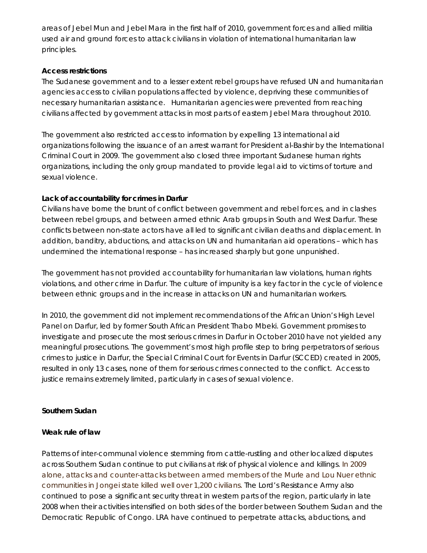areas of Jebel Mun and Jebel Mara in the first half of 2010, government forces and allied militia used air and ground forces to attack civilians in violation of international humanitarian law principles.

### **Access restrictions**

The Sudanese government and to a lesser extent rebel groups have refused UN and humanitarian agencies access to civilian populations affected by violence, depriving these communities of necessary humanitarian assistance. Humanitarian agencies were prevented from reaching civilians affected by government attacks in most parts of eastern Jebel Mara throughout 2010.

The government also restricted access to information by expelling 13 international aid organizations following the issuance of an arrest warrant for President al-Bashir by the International Criminal Court in 2009. The government also closed three important Sudanese human rights organizations, including the only group mandated to provide legal aid to victims of torture and sexual violence.

## **Lack of accountability for crimes in Darfur**

Civilians have borne the brunt of conflict between government and rebel forces, and in clashes between rebel groups, and between armed ethnic Arab groups in South and West Darfur. These conflicts between non-state actors have all led to significant civilian deaths and displacement. In addition, banditry, abductions, and attacks on UN and humanitarian aid operations – which has undermined the international response – has increased sharply but gone unpunished.

The government has not provided accountability for humanitarian law violations, human rights violations, and other crime in Darfur. The culture of impunity is a key factor in the cycle of violence between ethnic groups and in the increase in attacks on UN and humanitarian workers.

In 2010, the government did not implement recommendations of the African Union's High Level Panel on Darfur, led by former South African President Thabo Mbeki. Government promises to investigate and prosecute the most serious crimes in Darfur in October 2010 have not yielded any meaningful prosecutions. The government's most high profile step to bring perpetrators of serious crimes to justice in Darfur, the Special Criminal Court for Events in Darfur (SCCED) created in 2005, resulted in only 13 cases, none of them for serious crimes connected to the conflict. Access to justice remains extremely limited, particularly in cases of sexual violence.

## **Southern Sudan**

### **Weak rule of law**

Patterns of inter-communal violence stemming from cattle-rustling and other localized disputes across Southern Sudan continue to put civilians at risk of physical violence and killings. In 2009 alone, attacks and counter-attacks between armed members of the Murle and Lou Nuer ethnic communities in Jongei state killed well over 1,200 civilians. The Lord's Resistance Army also continued to pose a significant security threat in western parts of the region, particularly in late 2008 when their activities intensified on both sides of the border between Southern Sudan and the Democratic Republic of Congo. LRA have continued to perpetrate attacks, abductions, and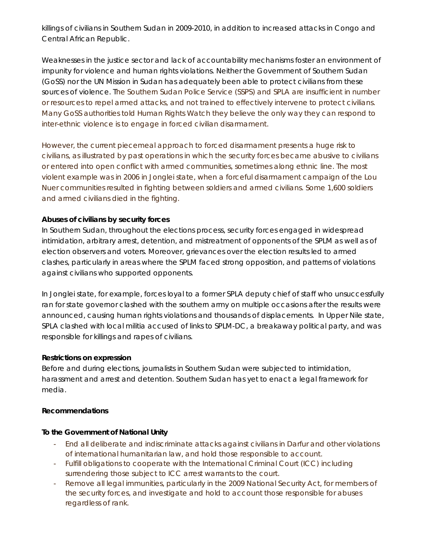killings of civilians in Southern Sudan in 2009-2010, in addition to increased attacks in Congo and Central African Republic.

Weaknesses in the justice sector and lack of accountability mechanisms foster an environment of impunity for violence and human rights violations. Neither the Government of Southern Sudan (GoSS) nor the UN Mission in Sudan has adequately been able to protect civilians from these sources of violence. The Southern Sudan Police Service (SSPS) and SPLA are insufficient in number or resources to repel armed attacks, and not trained to effectively intervene to protect civilians. Many GoSS authorities told Human Rights Watch they believe the only way they can respond to inter-ethnic violence is to engage in forced civilian disarmament.

However, the current piecemeal approach to forced disarmament presents a huge risk to civilians, as illustrated by past operations in which the security forces became abusive to civilians or entered into open conflict with armed communities, sometimes along ethnic line. The most violent example was in 2006 in Jonglei state, when a forceful disarmament campaign of the Lou Nuer communities resulted in fighting between soldiers and armed civilians. Some 1,600 soldiers and armed civilians died in the fighting.

## **Abuses of civilians by security forces**

In Southern Sudan, throughout the elections process, security forces engaged in widespread intimidation, arbitrary arrest, detention, and mistreatment of opponents of the SPLM as well as of election observers and voters. Moreover, grievances over the election results led to armed clashes, particularly in areas where the SPLM faced strong opposition, and patterns of violations against civilians who supported opponents.

In Jonglei state, for example, forces loyal to a former SPLA deputy chief of staff who unsuccessfully ran for state governor clashed with the southern army on multiple occasions after the results were announced, causing human rights violations and thousands of displacements. In Upper Nile state, SPLA clashed with local militia accused of links to SPLM-DC, a breakaway political party, and was responsible for killings and rapes of civilians.

### **Restrictions on expression**

Before and during elections, journalists in Southern Sudan were subjected to intimidation, harassment and arrest and detention. Southern Sudan has yet to enact a legal framework for media.

### **Recommendations**

### **To the Government of National Unity**

- End all deliberate and indiscriminate attacks against civilians in Darfur and other violations of international humanitarian law, and hold those responsible to account.
- Fulfill obligations to cooperate with the International Criminal Court (ICC) including surrendering those subject to ICC arrest warrants to the court.
- Remove all legal immunities, particularly in the 2009 National Security Act, for members of the security forces, and investigate and hold to account those responsible for abuses regardless of rank.